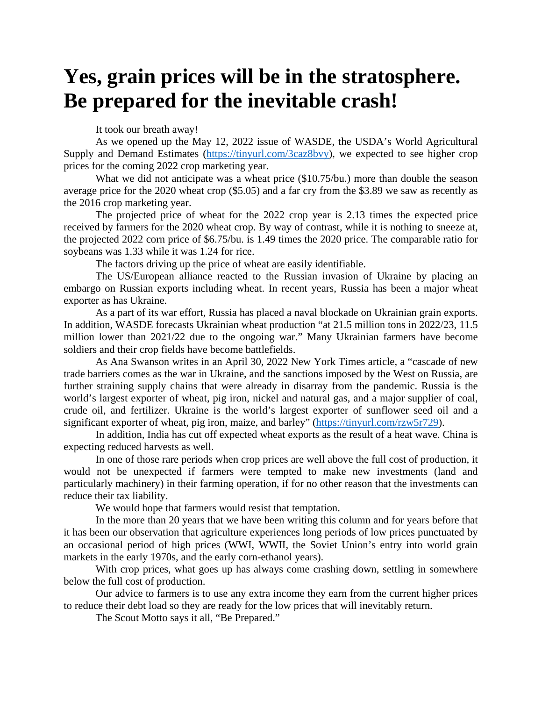## **Yes, grain prices will be in the stratosphere. Be prepared for the inevitable crash!**

It took our breath away!

As we opened up the May 12, 2022 issue of WASDE, the USDA's World Agricultural Supply and Demand Estimates [\(https://tinyurl.com/3caz8bvy\)](https://tinyurl.com/3caz8bvy), we expected to see higher crop prices for the coming 2022 crop marketing year.

What we did not anticipate was a wheat price (\$10.75/bu.) more than double the season average price for the 2020 wheat crop (\$5.05) and a far cry from the \$3.89 we saw as recently as the 2016 crop marketing year.

The projected price of wheat for the 2022 crop year is 2.13 times the expected price received by farmers for the 2020 wheat crop. By way of contrast, while it is nothing to sneeze at, the projected 2022 corn price of \$6.75/bu. is 1.49 times the 2020 price. The comparable ratio for soybeans was 1.33 while it was 1.24 for rice.

The factors driving up the price of wheat are easily identifiable.

The US/European alliance reacted to the Russian invasion of Ukraine by placing an embargo on Russian exports including wheat. In recent years, Russia has been a major wheat exporter as has Ukraine.

As a part of its war effort, Russia has placed a naval blockade on Ukrainian grain exports. In addition, WASDE forecasts Ukrainian wheat production "at 21.5 million tons in 2022/23, 11.5 million lower than 2021/22 due to the ongoing war." Many Ukrainian farmers have become soldiers and their crop fields have become battlefields.

As Ana Swanson writes in an April 30, 2022 New York Times article, a "cascade of new trade barriers comes as the war in Ukraine, and the sanctions imposed by the West on Russia, are further straining supply chains that were already in disarray from the pandemic. Russia is the world's largest exporter of wheat, pig iron, nickel and natural gas, and a major supplier of coal, crude oil, and fertilizer. Ukraine is the world's largest exporter of sunflower seed oil and a significant exporter of wheat, pig iron, maize, and barley" [\(https://tinyurl.com/rzw5r729\)](https://tinyurl.com/rzw5r729).

In addition, India has cut off expected wheat exports as the result of a heat wave. China is expecting reduced harvests as well.

In one of those rare periods when crop prices are well above the full cost of production, it would not be unexpected if farmers were tempted to make new investments (land and particularly machinery) in their farming operation, if for no other reason that the investments can reduce their tax liability.

We would hope that farmers would resist that temptation.

In the more than 20 years that we have been writing this column and for years before that it has been our observation that agriculture experiences long periods of low prices punctuated by an occasional period of high prices (WWI, WWII, the Soviet Union's entry into world grain markets in the early 1970s, and the early corn-ethanol years).

With crop prices, what goes up has always come crashing down, settling in somewhere below the full cost of production.

Our advice to farmers is to use any extra income they earn from the current higher prices to reduce their debt load so they are ready for the low prices that will inevitably return.

The Scout Motto says it all, "Be Prepared."